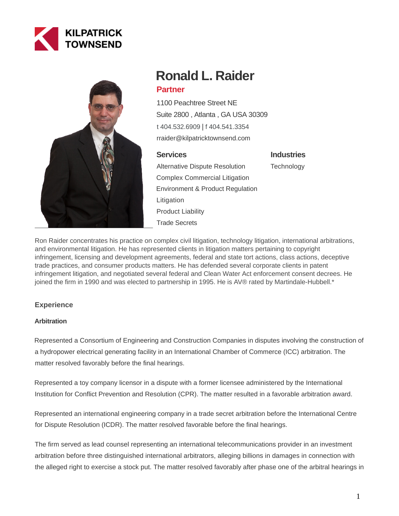



# **Ronald L. Raider Partner**

1100 Peachtree Street NE Suite 2800 , Atlanta , GA USA 30309 [t 404.532.6909](tel:404.532.6909) | [f 404.541.3354](fax:404.541.3354) rraider@kilpatricktownsend.com

## **Services**

Alternative Dispute Resolution Complex Commercial Litigation Environment & Product Regulation Litigation Product Liability Trade Secrets

**Industries**

**Technology** 

Ron Raider concentrates his practice on complex civil litigation, technology litigation, international arbitrations, and environmental litigation. He has represented clients in litigation matters pertaining to copyright infringement, licensing and development agreements, federal and state tort actions, class actions, deceptive trade practices, and consumer products matters. He has defended several corporate clients in patent infringement litigation, and negotiated several federal and Clean Water Act enforcement consent decrees. He joined the firm in 1990 and was elected to partnership in 1995. He is AV® rated by Martindale-Hubbell.\*

# **Experience**

## **Arbitration**

Represented a Consortium of Engineering and Construction Companies in disputes involving the construction of a hydropower electrical generating facility in an International Chamber of Commerce (ICC) arbitration. The matter resolved favorably before the final hearings.

Represented a toy company licensor in a dispute with a former licensee administered by the International Institution for Conflict Prevention and Resolution (CPR). The matter resulted in a favorable arbitration award.

Represented an international engineering company in a trade secret arbitration before the International Centre for Dispute Resolution (ICDR). The matter resolved favorable before the final hearings.

The firm served as lead counsel representing an international telecommunications provider in an investment arbitration before three distinguished international arbitrators, alleging billions in damages in connection with the alleged right to exercise a stock put. The matter resolved favorably after phase one of the arbitral hearings in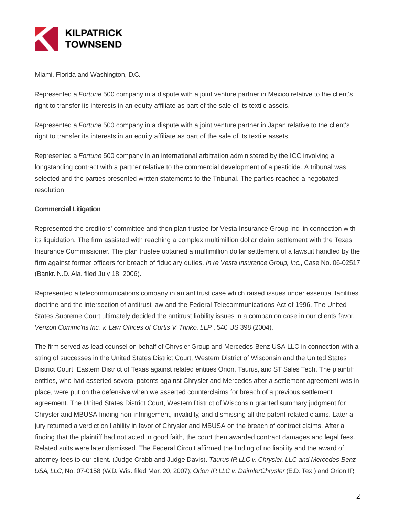

Miami, Florida and Washington, D.C.

Represented a *Fortune* 500 company in a dispute with a joint venture partner in Mexico relative to the client's right to transfer its interests in an equity affiliate as part of the sale of its textile assets.

Represented a Fortune 500 company in a dispute with a joint venture partner in Japan relative to the client's right to transfer its interests in an equity affiliate as part of the sale of its textile assets.

Represented a Fortune 500 company in an international arbitration administered by the ICC involving a longstanding contract with a partner relative to the commercial development of a pesticide. A tribunal was selected and the parties presented written statements to the Tribunal. The parties reached a negotiated resolution.

#### **Commercial Litigation**

Represented the creditors' committee and then plan trustee for Vesta Insurance Group Inc. in connection with its liquidation. The firm assisted with reaching a complex multimillion dollar claim settlement with the Texas Insurance Commissioner. The plan trustee obtained a multimillion dollar settlement of a lawsuit handled by the firm against former officers for breach of fiduciary duties. In re Vesta Insurance Group, Inc., Case No. 06-02517 (Bankr. N.D. Ala. filed July 18, 2006).

Represented a telecommunications company in an antitrust case which raised issues under essential facilities doctrine and the intersection of antitrust law and the Federal Telecommunications Act of 1996. The United States Supreme Court ultimately decided the antitrust liability issues in a companion case in our clients favor. Verizon Commc'ns Inc. v. Law Offices of Curtis V. Trinko, LLP , 540 US 398 (2004).

The firm served as lead counsel on behalf of Chrysler Group and Mercedes-Benz USA LLC in connection with a string of successes in the United States District Court, Western District of Wisconsin and the United States District Court, Eastern District of Texas against related entities Orion, Taurus, and ST Sales Tech. The plaintiff entities, who had asserted several patents against Chrysler and Mercedes after a settlement agreement was in place, were put on the defensive when we asserted counterclaims for breach of a previous settlement agreement. The United States District Court, Western District of Wisconsin granted summary judgment for Chrysler and MBUSA finding non-infringement, invalidity, and dismissing all the patent-related claims. Later a jury returned a verdict on liability in favor of Chrysler and MBUSA on the breach of contract claims. After a finding that the plaintiff had not acted in good faith, the court then awarded contract damages and legal fees. Related suits were later dismissed. The Federal Circuit affirmed the finding of no liability and the award of attorney fees to our client. (Judge Crabb and Judge Davis). Taurus IP, LLC v. Chrysler, LLC and Mercedes-Benz USA, LLC, No. 07-0158 (W.D. Wis. filed Mar. 20, 2007); Orion IP, LLC v. DaimlerChrysler (E.D. Tex.) and Orion IP,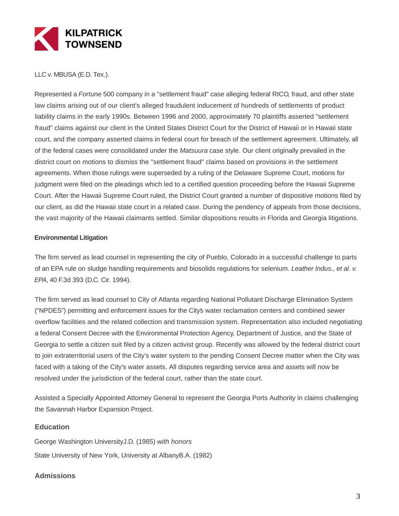

LLC v. MBUSA (E.D. Tex.).

Represented a Fortune 500 company in a "settlement fraud" case alleging federal RICO, fraud, and other state law claims arising out of our client's alleged fraudulent inducement of hundreds of settlements of product liability claims in the early 1990s. Between 1996 and 2000, approximately 70 plaintiffs asserted "settlement fraud" claims against our client in the United States District Court for the District of Hawaii or in Hawaii state court, and the company asserted claims in federal court for breach of the settlement agreement. Ultimately, all of the federal cases were consolidated under the Matsuura case style. Our client originally prevailed in the district court on motions to dismiss the "settlement fraud" claims based on provisions in the settlement agreements. When those rulings were superseded by a ruling of the Delaware Supreme Court, motions for judgment were filed on the pleadings which led to a certified question proceeding before the Hawaii Supreme Court. After the Hawaii Supreme Court ruled, the District Court granted a number of dispositive motions filed by our client, as did the Hawaii state court in a related case. During the pendency of appeals from those decisions, the vast majority of the Hawaii claimants settled. Similar dispositions results in Florida and Georgia litigations.

#### **Environmental Litigation**

The firm served as lead counsel in representing the city of Pueblo, Colorado in a successful challenge to parts of an EPA rule on sludge handling requirements and biosolids regulations for selenium. Leather Indus., et al. v. EPA, 40 F.3d 393 (D.C. Cir. 1994).

The firm served as lead counsel to City of Atlanta regarding National Pollutant Discharge Elimination System ("NPDES") permitting and enforcement issues for the City's water reclamation centers and combined sewer overflow facilities and the related collection and transmission system. Representation also included negotiating a federal Consent Decree with the Environmental Protection Agency, Department of Justice, and the State of Georgia to settle a citizen suit filed by a citizen activist group. Recently was allowed by the federal district court to join extraterritorial users of the City's water system to the pending Consent Decree matter when the City was faced with a taking of the City's water assets. All disputes regarding service area and assets will now be resolved under the jurisdiction of the federal court, rather than the state court.

Assisted a Specially Appointed Attorney General to represent the Georgia Ports Authority in claims challenging the Savannah Harbor Expansion Project.

#### **Education**

George Washington UniversityJ.D. (1985) with honors State University of New York, University at AlbanyB.A. (1982)

#### **Admissions**